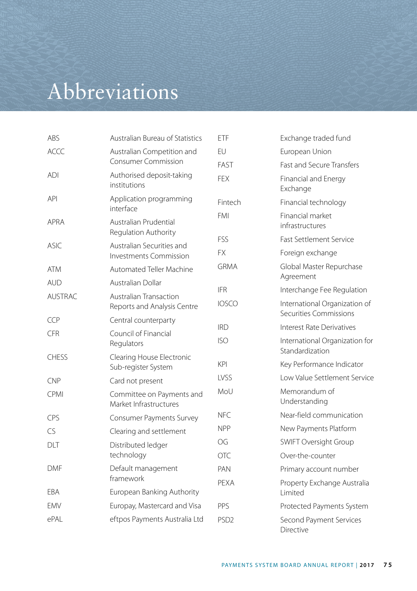## Abbreviations

| ABS            | Australian Bureau of Statistics                          | ETF                      | Exchange traded fund                                        |
|----------------|----------------------------------------------------------|--------------------------|-------------------------------------------------------------|
| <b>ACCC</b>    | Australian Competition and<br><b>Consumer Commission</b> | FU.                      | European Union                                              |
|                |                                                          | <b>FAST</b>              | <b>Fast and Secure Transfers</b>                            |
| <b>ADI</b>     | Authorised deposit-taking<br>institutions                | <b>FFX</b>               | Financial and Energy<br>Exchange                            |
| <b>API</b>     | Application programming<br>interface                     | Fintech                  | Financial technology                                        |
| <b>APRA</b>    | Australian Prudential<br>Regulation Authority            | <b>FMI</b>               | Financial market<br>infrastructures                         |
| <b>ASIC</b>    | Australian Securities and<br>Investments Commission      | FSS                      | <b>Fast Settlement Service</b>                              |
|                |                                                          | <b>FX</b>                | Foreign exchange                                            |
| <b>ATM</b>     | Automated Teller Machine                                 | <b>GRMA</b>              | Global Master Repurchase<br>Agreement                       |
| <b>AUD</b>     | Australian Dollar                                        | IFR.                     | Interchange Fee Regulation                                  |
| <b>AUSTRAC</b> | Australian Transaction<br>Reports and Analysis Centre    | <b>IOSCO</b>             | International Organization of<br>Securities Commissions     |
| <b>CCP</b>     | Central counterparty                                     |                          |                                                             |
| <b>CFR</b>     | Council of Financial<br>Regulators                       | <b>IRD</b><br><b>ISO</b> | Interest Rate Derivatives<br>International Organization for |
| <b>CHESS</b>   | Clearing House Electronic<br>Sub-register System         | <b>KPI</b>               | Standardization<br>Key Performance Indicator                |
| <b>CNP</b>     | Card not present                                         | <b>IVSS</b>              | Low Value Settlement Service                                |
| <b>CPMI</b>    | Committee on Payments and<br>Market Infrastructures      | MoU                      | Memorandum of<br>Understanding                              |
| CPS            | Consumer Payments Survey                                 | <b>NFC</b>               | Near-field communication                                    |
| CS             | Clearing and settlement                                  | <b>NPP</b>               | New Payments Platform                                       |
| DLT            | Distributed ledger<br>technology                         | OG                       | <b>SWIFT Oversight Group</b>                                |
|                |                                                          | OTC                      | Over-the-counter                                            |
| <b>DMF</b>     | Default management<br>framework                          | <b>PAN</b>               | Primary account number                                      |
|                |                                                          | PEXA                     | Property Exchange Australia                                 |
| EBA            | European Banking Authority                               |                          | Limited                                                     |
| <b>EMV</b>     | Europay, Mastercard and Visa                             | PPS                      | Protected Payments System                                   |
| ePAL           | eftpos Payments Australia Ltd                            | PSD <sub>2</sub>         | Second Payment Services<br>Directive                        |